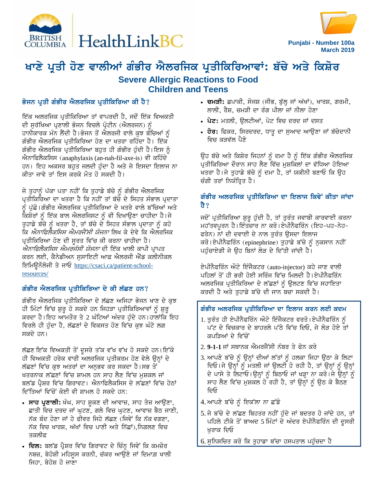



# ਖਾਣੇ ਪ੍ਰਤੀ ਹੋਣ ਵਾਲੀਆਂ ਗੰਭੀਰ ਐਲਰਜਿਕ ਪ੍ਰਤੀਕਿਰਿਆਵਾਂ: ਬੱਚੇ ਅਤੇ ਕਿਸ਼ੋਰ **Severe Allergic Reactions to Food Children and Teens**

## ਭੋਜਨ ਪਤੀ ਗੰਭੀਰ ਐਲਰਜਿਕ ਪਤੀਕਿਰਿਆ ਕੀ ਹੈ?

ਇੱਕ ਅਲਰਜਿਕ ਪ੍ਰਤੀਕਿਰਿਆ ਤਾਂ ਵਾਪਰਦੀ ਹੈ, ਜਦੋਂ ਇੱਕ ਵਿਅਕਤੀ ਦੀ ਸੁਰੱਖਿਆ ਪ੍ਰਣਾਲੀ ਭੋਜਨ ਵਿਚਲੇ ਪ੍ਰੋਟੀਨ (ਐਲਰਜਨ) ਨੂੰ ਹਾਨੀਕਾਰਕ ਮੰਨ ਲੈਂਦੀ ਹੈ।ਭੋਜਨ ਤੋਂ ਐਲਰਜੀ ਵਾਲੇ ਕੁਝ ਬੱਚਿਆਂ ਨੂੰ ਗੰਭੀਰ ਐਲਰਜਿਕ ਪ੍ਰਤੀਕਿਰਿਆ ਹੋਣ ਦਾ ਖਤਰਾ ਰਹਿੰਦਾ ਹੈ। ਇੱਕ ਗੰਭੀਰ ਐਲਰਜਿਕ ਪ੍ਰਤੀਕਿਰਿਆ ਬਹਤ ਹੀ ਗੰਭੀਰ ਹੰਦੀ ਹੈ।ਇਸ ਨੰ ਐਨਾਫਿਲੈਕਸਿਸ (anaphylaxis (an-nah-fil-axe-is) ਵੀ ਕਹਿੰਦੇ ਹਨ। ਇਹ ਅਕਸਰ ਬਹੁਤ ਜਲਦੀ ਹੁੰਦਾ ਹੈ ਅਤੇ ਜੇ ਇਸਦਾ ਇਲਾਜ ਨਾ ਕੀਤਾ ਜਾਵੇ ਤਾਂ ਇਸ ਕਰਕੇ ਮੌਤ ਹੋ ਸਕਦੀ ਹੈ।

ਜੇ ਤਹਾਨੰ ਪੱਕਾ ਪਤਾ ਨਹੀਂ ਕਿ ਤਹਾਡੇ ਬੱਚੇ ਨੰ ਗੰਭੀਰ ਐਲਰਜਿਕ ਪ੍ਰਤੀਕਿਰਿਆ ਦਾ ਖਤਰਾ ਹੈ ਕਿ ਨਹੀਂ ਤਾਂ ਬੱਚੇ ਦੇ ਸਿਹਤ ਸੰਭਾਲ ਪ੍ਰਦਾਤਾ ਨੰ ਪੱਛੋ।ਗੰਭੀਰ ਐਲਰਜਿਕ ਪ੍ਰਤੀਕਿਰਿਆ ਦੇ ਖਤਰੇ ਵਾਲੇ ਬੱਚਿਆਂ ਅਤੇ ਕਿਸ਼ੋਰਾਂ ਨੂੰ ਇੱਕ ਬਾਲ ਐਲਰਜਿਸਟ ਨੂੰ ਵੀ ਦਿਖਾਉਣਾ ਚਾਹੀਦਾ ਹੈ।ਜੇ ਤੁਹਾਡੇ ਬੱਚੇ ਨੂੰ ਖਤਰਾ ਹੈ, ਤਾਂ ਬੱਚੇ ਦੇ ਸਿਹਤ ਸੰਭਾਲ ਪ੍ਰਦਾਤਾ ਨੂੰ ਕਹੋ ਕਿ *ਐਨਾਫਿਲੈਕਸਿਸ ਐਮਰਜੈਂਸੀ ਯੋਜਨਾ* ਲਿਖ ਕੇ ਦੇਵੇ ਕਿ ਐਲਰਜਿਕ ਪ੍ਰਤੀਕਿਰਿਆ ਹੋਣ ਦੀ ਸੂਰਤ ਵਿੱਚ ਕੀ ਕਰਨਾ ਚਾਹੀਦਾ ਹੈ। *ਐਨਾਫਿਲੈਕਸਿਸ ਐਮਰਜੰਸੀ ਯੋਜਨਾ* ਦੀ ਇੱਕ ਖਾਲੀ ਕਾਪੀ ਪ੍ਰਾਪਤ ਕਰਨ ਲਈ, ਕੈਨੇਡੀਅਨ ਸੁਸਾਇਟੀ ਆਫ਼ ਐਲਰਜੀ ਐਂਡ ਕਲੀਨੀਕਲ ਇਮਿਊਨੌਲੋਜੀ ਤੇ ਜਾਓ https://csaci.ca/patient-schoolresources/

## ਗੰਭੀਰ ਐਲਰਜਿਕ ਪ੍ਰਤੀਕਿਰਿਆ ਦੇ ਕੀ ਲੱਛਣ ਹਨ?

ਗੰਭੀਰ ਐਲਰਜਿਕ ਪ੍ਰਤੀਕਿਰਿਆ ਦੇ ਲੱਛਣ ਅਜਿਹਾ ਭੋਜਨ ਖਾਣ ਦੇ ਕੁਝ ਹੀ ਮਿੰਟਾਂ ਵਿੱਚ ਸ਼ੁਰੂ ਹੋ ਸਕਦੇ ਹਨ ਜਿਹੜਾ ਪ੍ਰਤੀਕਿਰਿਆਵਾਂ ਨੂੰ ਸ਼ੁਰੂ ਕਰਦਾ ਹੈ।ਇਹ ਆਮਤੌਰ ਤੇ 2 ਘੰਟਿਆਂ ਅੰਦਰ ਹੁੰਦੇ ਹਨ।ਹਾਲਾਂਕਿ ਇਹ ਵਿਰਲੇ ਹੀ ਹੰਦਾ ਹੈ, ਲੱਛਣਾਂ ਦੇ ਵਿਕਸਤ ਹੋਣ ਵਿੱਚ ਕਝ ਘੰਟੇ ਲਗ ਸਕਦੇ ਹਨ।

ਲੱਛਣ ਇੱਕ ਵਿਅਕਤੀ ਤੋਂ ਦੂਸਰੇ ਤੱਕ ਵੱਖ ਵੱਖ ਹੋ ਸਕਦੇ ਹਨ।ਇੱਕੋ ਹੀ ਵਿਅਕਤੀ ਹਰੇਕ ਵਾਰੀ ਅਲਰਜਿਕ ਪ੍ਰਤੀਕਰਮ ਹੋਣ ਵੇਲੇ ਉਨ੍ਹਾਂ ਦੇ ਲੱਛਣਾਂ ਵਿੱਚ ਕੁਝ ਅਤਰਾਂ ਦਾ ਅਨੁਭਵ ਕਰ ਸਕਦਾ ਹੈ।ਸਭ ਤੋਂ ਖਤਰਨਾਕ ਲੱਛਣਾਂ ਵਿੱਚ ਸ਼ਾਮਲ ਹਨ ਸਾਹ ਲੈਣ ਵਿੱਚ ਮੁਸ਼ਕਲ ਜਾਂ ਬਲੱਡ ਪ੍ਰੈਸ਼ਰ ਵਿੱਚ ਗਿਰਾਵਟ। ਐਨਾਫਿਲੈਕਸਿਸ ਦੇ ਲੱਛਣਾਂ ਵਿੱਚ ਹੇਠਾਂ ਦਿੱਤਿਆਂ ਵਿੱਚੋਂ ਕੋਈ ਵੀ ਸ਼ਾਮਲ ਹੋ ਸਕਦੇ ਹਨ:

- ਸਾਹ ਪ੍ਰਣਾਲੀ: ਖੰਘ, ਸਾਹ ਸ਼ੁਕਣ ਦੀ ਆਵਾਜ਼, ਸਾਹ ਤੇਜ਼ ਆਉਣਾ, ਛਾਤੀ ਵਿਚ ਦਰਦ ਜਾਂ ਘਟਣ, ਗਲੇ ਵਿਚ ਘਟਣ, ਆਵਾਜ਼ ਬੈਠ ਜਾਣੀ, ਨੱਕ ਬੰਦ ਹੋਣਾ ਜਾਂ ਹੇ ਫੀਵਰ ਜਿਹੇ ਲੱਛਣ (ਜਿਵੇਂ ਕਿ ਨੱਕ ਵਗਣਾ, ਨੱਕ ਵਿਚ ਖਾਰਸ਼, ਅੱਖਾਂ ਵਿਚ ਪਾਣੀ ਅਤੇ ਨਿੱਛਾਂ),ਨਿਗਲਣ ਵਿਚ ਤਕਲੀਫ
- ਦਿਲ: ਬਲੱਡ ਪ੍ਰੈਸ਼ਰ ਵਿੱਚ ਗਿਰਾਵਟ ਦੇ ਚਿੰਨ੍ਹ ਜਿਵੇਂ ਕਿ ਕਮਜ਼ੋਰ ਨਬਜ਼, ਬੇਹੋਸ਼ੀ ਮਹਿਸੂਸ ਕਰਨੀ, ਚੱਕਰ ਆਉਣੇ ਜਾਂ ਦਿਮਾਗ਼ ਖਾਲੀ ਜਿਹਾ. ਬੇਹੋਸ਼ ਹੋ ਜਾਣਾ
- ਚਮੜੀ: ਛਪਾਕੀ, ਸੋਜਸ਼ (ਜੀਭ, ਬੱਲ੍ਹ ਜਾਂ ਅੱਖਾਂ), ਖਾਰਸ਼, ਗਰਮੀ, ਲਾਲੀ, ਰੈਸ਼, ਚਮੜੀ ਦਾ ਰੰਗ ਪੀਲਾ ਜਾਂ ਨੀਲਾ ਹੋਣਾ
- ਪੇਟ: ਮਤਲੀ, ਉਲਟੀਆਂ, ਪੇਟ ਵਿਚ ਦਰਦ ਜਾਂ ਦਸਤ
- ਹੋਰ: ਫਿਕਰ, ਸਿਰਦਰਦ, ਧਾਤੁ ਦਾ ਸੁਆਦ ਆਉਣਾ ਜਾਂ ਬੱਚੇਦਾਨੀ ਵਿਚ ਕੜਵੱਲ ਪੈਣੇ

ਉਹ ਬੱਚੇ ਅਤੇ ਕਿਸ਼ੋਰ ਜਿਹਨਾਂ ਨੂੰ ਦਮਾ ਹੈ ਨੂੰ ਇੱਕ ਗੰਭੀਰ ਐਲਰਜਿਕ ਪ੍ਰਤੀਕਿਰਿਆ ਦੌਰਾਨ ਸਾਹ ਲੈਣ ਵਿੱਚ ਮੁਸ਼ਕਿਲਾਂ ਦਾ ਵੱਧਿਆ ਹੋਇਆ ਖਤਰਾ ਹੈ।ਜੇ ਤੁਹਾਡੇ ਬੱਚੇ ਨੂੰ ਦਮਾ ਹੈ, ਤਾਂ ਯਕੀਨੀ ਬਣਾਓ ਕਿ ਉਹ ਚੰਗੀ ਤਰਾਂ ਨਿਯੰਤਿਤ ਹੈ।

### ਗੰਭੀਰ ਅਲਰਜਿਕ ਪ੍ਰਤੀਕਿਰਿਆ ਦਾ ਇਲਾਜ ਕਿਵੇਂ ਕੀਤਾ ਜਾਂਦਾ ਹੈ ?

ਜਦੋਂ ਪ੍ਰਤੀਕਿਰਿਆ ਸ਼ੁਰੂ ਹੁੰਦੀ ਹੈ, ਤਾਂ ਤੁਰੰਤ ਜਵਾਬੀ ਕਾਰਵਾਈ ਕਰਨਾ ਮਹੱਤਵਪੂਰਨ ਹੈ।ਇੰਤਜ਼ਾਰ ਨਾ ਕਰੋ।ਏਪੀਨੈਫਰਿੰਨ (ਇਹ-ਪਹ-ਨੇਹ-ਫਰੇਨ) ਨਾਂ ਦੀ ਦਵਾਈ ਦੇ ਨਾਲ ਤੁਰੰਤ ਉਸਦਾ ਇਲਾਜ ਕਰੋ।ਏਪੀਨੈਫਰਿੰਨ (epinephrine) ਤੁਹਾਡੇ ਬੱਚੇ ਨੂੰ ਨੁਕਸਾਨ ਨਹੀਂ ਪਹੁੰਚਾਏਗੀ ਜੇ ਉਹ ਬਿਨਾਂ ਲੋੜ ਦੇ ਦਿੱਤੀ ਜਾਂਦੀ ਹੈ।

ਏਪੀਨੈਫਰਿੰਨ ਔਟੋ ਇੰਜੈਕਟਰ (auto-injector) ਕਹੇ ਜਾਣ ਵਾਲੀ ਪਹਿਲਾਂ ਤੋਂ ਹੀ ਭਰੀ ਹੋਈ ਸਰਿੰਜ ਵਿੱਚ ਮਿਲਦੀ ਹੈ।ਏਪੀਨੈਫਰਿੰਨ ਅਲਰਜਿਕ ਪ੍ਰਤੀਕਿਰਿਆ ਦੇ ਲੱਛਣਾਂ ਨੂੰ ਉਲਟਣ ਵਿੱਚ ਸਹਾਇਤਾ ਕਰਦੀ ਹੈ ਅਤੇ ਤਹਾਡੇ ਬੱਚੇ ਦੀ ਜਾਨ ਬਚਾ ਸਕਦੀ ਹੈ।

#### ਗੰਭੀਰ ਅਲਰਜਿਕ ਪ੍ਰਤੀਕਿਰਿਆ ਦਾ ਇਲਾਜ ਕਰਨ ਲਈ ਕਦਮ

- 1. ਤਰੰਤ ਹੀ ਏਪੀਨੈਫਰਿੰਨ ਔਟੋ ਇੰਜੈਕਟਰ ਵਰਤੋ।ਏਪੀਨੈਫਰਿੰਨ ਨੰ ਪੱਟ ਦੇ ਵਿਚਕਾਰ ਦੇ ਬਾਹਰਲੇ ਪੱਠੇ ਵਿੱਚ ਦਿਓ, ਜੇ ਲੋੜ ਹੋਏ ਤਾਂ ਕਪਤਿਆਂ ਦੇ ਵਿੱਚੋਂ
- 2.9-1-1 ਜਾਂ ਸਥਾਨਕ ਐਮਰਜੈਂਸੀ ਨੰਬਰ ਤੇ ਫੋਨ ਕਰੋ
- 3. ਆਪਣੇ ਬੱਚੇ ਨੂੰ ਉਨ੍ਹਾਂ ਦੀਆਂ ਲੱਤਾਂ ਨੂੰ ਹਲਕਾ ਜਿਹਾ ਉਠਾ ਕੇ ਲਿਟਾ ਦਿਓ।ਜੇ ਉਨ੍ਹਾਂ ਨੂੰ ਮਤਲੀ ਜਾਂ ਉਲਟੀ ਹੋ ਰਹੀ ਹੈ, ਤਾਂ ਉਨ੍ਹਾਂ ਨੂੰ ਉਨ੍ਹਾਂ ਦੇ ਪਾਸੇ ਤੇ ਲਿਟਾਓ।ਉਨ੍ਹਾਂ ਨੂੰ ਬਿਠਾਓ ਜਾਂ ਖੜ੍ਹਾ ਨਾ ਕਰੋ।ਜੇ ਉਨ੍ਹਾਂ ਨੂੰ ਸਾਹ ਲੈਣ ਵਿੱਚ ਮੁਸ਼ਕਲ ਹੋ ਰਹੀ ਹੈ, ਤਾਂ ਉਨ੍ਹਾਂ ਨੂੰ ਉਠ ਕੇ ਬੈਠਣ ਦਿਓ
- 4. ਆਪਣੇ ਬੱਚੇ ਨੂੰ ਇਕੱਲਾ ਨਾ ਛੱਡੋ
- 5. ਜੇ ਬੱਚੇ ਦੇ ਲੱਛਣ ਬਿਹਤਰ ਨਹੀਂ ਹੰਦੇ ਜਾਂ ਬਦਤਰ ਹੋ ਜਾਂਦੇ ਹਨ, ਤਾਂ ਪਹਿਲੇ ਟੀਕੇ ਤੋਂ ਬਾਅਦ 5 ਮਿੰਟਾਂ ਦੇ ਅੰਦਰ ਏਪੀਨੈਫਰਿੰਨ ਦੀ ਦੂਸਰੀ ਖਰਾਕ ਦਿਓ

6. ਸੁਨਿਸ਼ਚਿਤ ਕਰੋ ਕਿ ਤੁਹਾਡਾ ਬੱਚਾ ਹਸਪਤਾਲ ਪਹੁੰਚਦਾ ਹੈ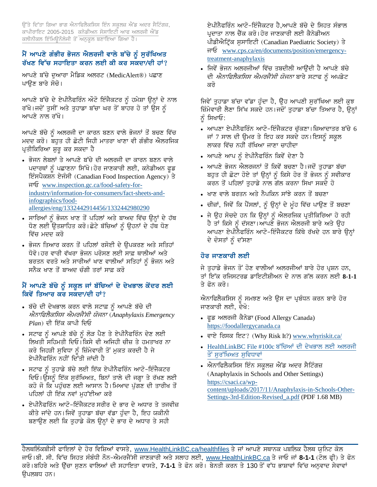ਉੱਤੇ ਦਿੱਤਾ ਗਿਆ ਭਾਗ ਐਨਾਫਿਲੈਕਸਿਸ ਇੰਨ ਸਕੂਲਜ਼ ਐਂਡ ਅਦਰ ਸੈਟਿੰਗਜ਼, ਕਾਪੀਰਾਇਟ 2005-2015 ਕਨੇਡੀਅਨ ਸੋਸਾਇਟੀ ਆਫ ਅਲਰਜੀ ਐਂਡ ਕਲੀਨੀਕਲ ਇੰਮਿਊਨੌਲੋਜੀ ਤੋਂ ਅਨੁਕੂਲ ਬਣਾਇਆ ਗਿਆ ਹੈ।

#### ਮੈਂ ਆਪਣੇ ਗੰਭੀਰ ਭੋਜਨ ਐਲਰਜੀ ਵਾਲੇ ਬੱਚੇ ਨੂੰ ਸਰੱਖਿਅਤ ਰੱਖਣ ਵਿੱਚ ਸਹਾਇਤਾ ਕਰਨ ਲਈ ਕੀ ਕਰ ਸਕਦਾ/ਦੀ ਹਾਂ?

ਆਪਣੇ ਬੱਚੇ ਦੁਆਰਾ ਮੈਡਿਕ ਅਲਰਟ (MedicAlert®) ਪਛਾਣ ਪਾੳਣ ਬਾਰੇ ਸੋਚੋ।

ਆਪਣੇ ਬੱਚੇ ਦੇ ਏਪੀਨੈਫਰਿੰਨ ਔਟੋ ਇੰਜੈਕਟਰ ਨੂੰ ਹਮੇਸ਼ਾ ਉਨ੍ਹਾਂ ਦੇ ਨਾਲ ਰੱਖੋ।ਜਦੋਂ ਤੁਸੀਂ ਅਤੇ ਤੁਹਾਡਾ ਬੱਚਾ ਘਰ ਤੋਂ ਬਾਹਰ ਹੋ ਤਾਂ ਉਸ ਨੂੰ ਆਪਣੇ ਨਾਲ ਰੱਖੋ।

ਆਪਣੇ ਬੱਚੇ ਨੂੰ ਅਲਰਜੀ ਦਾ ਕਾਰਨ ਬਣਨ ਵਾਲੇ ਭੋਜਨਾਂ ਤੋਂ ਬਚਣ ਵਿੱਚ ਮਦਦ ਕਰੋ। ਬਹੁਤ ਹੀ ਛੋਟੀ ਜਿਹੀ ਮਾਤਰਾ ਖਾਣਾ ਵੀ ਗੰਭੀਰ ਐਲਰਜਿਕ ਪ੍ਰਤੀਕਿਰਿਆ ਸ਼ੁਰੂ ਕਰ ਸਕਦਾ ਹੈ

- ਭੋਜਨ ਲੇਬਲਾਂ ਤੇ ਆਪਣੇ ਬੱਚੇ ਦੀ ਅਲਰਜੀ ਦਾ ਕਾਰਨ ਬਣਨ ਵਾਲੇ ਪਦਾਰਥਾਂ ਨੂੰ ਪਛਾਣਨਾ ਸਿੱਖੋ।ਹੋਰ ਜਾਣਕਾਰੀ ਲਈ, ਕਨੇਡੀਅਨ ਫੂਡ ਇੰਸਪੈਕਸ਼ਨ ਏਜੰਸੀ (Canadian Food Inspection Agency) ਤੇ नार्छ www.inspection.gc.ca/food-safety-forindustry/information-for-consumers/fact-sheets-andinfographics/foodallergies/eng/1332442914456/1332442980290
- ਸਾਰਿਆਂ ਨੂੰ ਭੋਜਨ ਖਾਣ ਤੋਂ ਪਹਿਲਾਂ ਅਤੇ ਬਾਅਦ ਵਿੱਚ ਉਨ੍ਹਾਂ ਦੇ ਹੱਥ ਧੋਣ ਲਈ ਉਤਸ਼ਾਹਿਤ ਕਰੋ।ਛੋਟੇ ਬੱਚਿਆਂ ਨੂੰ ਉਹਨਾਂ ਦੇ ਹੱਥ ਧੋਣ ਵਿੱਚ ਮਦਦ ਕਰੋ
- ਭੋਜਨ ਤਿਆਰ ਕਰਨ ਤੋਂ ਪਹਿਲਾਂ ਰਸੋਈ ਦੇ ੳਪਕਰਣ ਅਤੇ ਸਤਿਹਾਂ ਧੋਵੋ।ਹਰ ਵਾਰੀ ਵੱਖਰਾ ਭੋਜਨ ਪਰੋਸਣ ਲਈ ਸਾਫ਼ ਥਾਲੀਆਂ ਅਤੇ ਬਰਤਨ ਵਰਤੋ ਅਤੇ ਸਾਰੀਆਂ ਖਾਣ ਵਾਲੀਆਂ ਸਤਿਹਾਂ ਨੂੰ ਭੋਜਨ ਅਤੇ ਸਨੈਕ ਖਾਣ ਤੋਂ ਬਾਅਦ ਚੰਗੀ ਤਰਾਂ ਸਾਫ਼ ਕਰੋ

#### ਮੈਂ ਆਪਣੇ ਬੱਚੇ ਨੂੰ ਸਕੂਲ ਜਾਂ ਬੱਚਿਆਂ ਦੇ ਦੇਖਭਾਲ ਕੇਂਦਰ ਲਈ ਕਿਵੇਂ ਤਿਆਰ ਕਰ ਸਕਦਾ/ਦੀ ਹਾਂ?

- ਬੱਚੇ ਦੀ ਦੇਖਭਾਲ ਕਰਨ ਵਾਲੇ ਸਟਾਫ਼ ਨੂੰ ਆਪਣੇ ਬੱਚੇ ਦੀ ਐਨਾਫਿਲੈਕਸਿਸ ਐਮਰਜੈਂਸੀ ਯੋਜਨਾ (Anaphylaxis Emergency  $Plan$ ) ਦੀ ਇੱਕ ਕਾਪੀ ਦਿਓ
- ਸਟਾਫ ਨੂੰ ਆਪਣੇ ਬੱਚੇ ਨੂੰ ਲੋੜ ਪੈਣ ਤੇ ਏਪੀਨੈਫਰਿੰਨ ਦੇਣ ਲਈ ਲਿਖਤੀ ਸਹਿਮਤੀ ਦਿਓ।ਕਿਸੇ ਵੀ ਅਜਿਹੀ ਚੀਜ਼ ਤੇ ਹਮਤਾਖਰ ਨਾ ਕਰੋ ਜਿਹੜੀ ਸੁਵਿਧਾ ਨੂੰ ਜ਼ਿੰਮੇਵਾਰੀ ਤੋਂ ਮੁਕਤ ਕਰਦੀ ਹੈ ਜੇ ਏਪੀਨੈਫਰਿੰਨ ਨਹੀਂ ਦਿੱਤੀ ਜਾਂਦੀ ਹੈ
- ਸਟਾਫ ਨੂੰ ਤੁਹਾਡੇ ਬੱਚੇ ਲਈ ਇੱਕ ਏਪੀਨੈਫਰਿੰਨ ਆਟੋ-ਇੰਜੈਕਟਰ ਦਿਓ।ਉਸਨੂੰ ਇੱਕ ਸੁਰੱਖਿਅਤ, ਬਿਨਾਂ ਤਾਲੇ ਦੀ ਜਗ੍ਹਾ ਤੇ ਰੱਖਣ ਲਈ ਕਹੋ ਜੋ ਕਿ ਪਹੁੰਚਣ ਲਈ ਆਸਾਨ ਹੈ।ਮਿਆਦ ਪੁੱਗਣ ਦੀ ਤਾਰੀਖ ਤੋਂ ਪਹਿਲਾਂ ਹੀ ਇੱਕ ਨਵਾਂ ਮਹੱਈਆ ਕਰੋ
- ਏਪੀਨੈਫਰਿੰਨ ਆਟੋ-ਇੰਜੈਕਟਰ ਸਰੀਰ ਦੇ ਭਾਰ ਦੇ ਅਧਾਰ ਤੇ ਤਜਵੀਜ਼ ਕੀਤੇ ਜਾਂਦੇ ਹਨ।ਜਿਵੇਂ ਤਹਾਡਾ ਬੱਚਾ ਵੱਡਾ ਹੰਦਾ ਹੈ, ਇਹ ਯਕੀਨੀ ਬਣਾਉਣ ਲਈ ਕਿ ਤੁਹਾਡੇ ਕੋਲ ਉਨ੍ਹਾਂ ਦੇ ਭਾਰ ਦੇ ਅਧਾਰ ਤੇ ਸਹੀ

ਏਪੀਨੈਫਰਿੰਨ ਆਟੋ-ਇੰਜੈਕਟਰ ਹੈ,ਆਪਣੇ ਬੱਚੇ ਦੇ ਸਿਹਤ ਸੰਭਾਲ ਪ੍ਰਦਾਤਾ ਨਾਲ ਚੈਂਕ ਕਰੋ।ਹੋਰ ਜਾਣਕਾਰੀ ਲਈ ਕੈਨੇਡੀਅਨ ਪੀਡੀਐਟ੍ਰਿੱਕ ਸੁਸਾਇਟੀ (Canadian Paediatric Society) ਤੇ नार्छ www.cps.ca/en/documents/position/emergencytreatment-anaphylaxis

• ਜਿਵੇਂ ਭੋਜਨ ਅਲਰਜੀਆਂ ਵਿੱਚ ਤਬਦੀਲੀ ਆਉਂਦੀ ਹੈ ਆਪਣੇ ਬੱਚੇ ਦੀ *ਐਨਾਫਿਲੈਕਸਿਸ ਐਮਰਜੈਂਸੀ ਯੋਜਨਾ* ਬਾਰੇ ਸਟਾਫ ਨੂੰ ਅਪਡੇਟ ਕਰੋ

ਜਿਵੇਂ ਤੁਹਾਡਾ ਬੱਚਾ ਵੱਡਾ ਹੁੰਦਾ ਹੈ, ਉਹ ਆਪਣੀ ਸੁਰੱਖਿਆ ਲਈ ਕੁਝ ਜ਼ਿੰਮੇਵਾਰੀ ਲੈਣਾ ਸਿੱਖ ਸਕਦੇ ਹਨ।ਜਦੋਂ ਤੁਹਾਡਾ ਬੱਚਾ ਤਿਆਰ ਹੈ, ਉਨ੍ਹਾਂ ਨੂੰ ਸਿਖਾਓ:

- ਆਪਣਾ ਏਪੀਨੈਫਰਿੰਨ ਆਟੋ-ਇੰਜੈਕਟਰ ਚੁੱਕਣਾ।ਜ਼ਿਆਦਾਤਰ ਬੱਚੇ 6 ਜਾਂ 7 ਸਾਲ ਦੀ ਉਮਰ ਤੇ ਇਹ ਕਰ ਸਕਦੇ ਹਨ।ਇਸਨੂੰ ਸਕੂਲ ਲਾਕਰ ਵਿੱਚ ਨਹੀਂ ਰੱਖਿਆ ਜਾਣਾ ਚਾਹੀਦਾ
- ਆਪਣੇ ਆਪ ਨੂੰ ਏਪੀਨੈਫਰਿੰਨ ਕਿਵੇਂ ਦੇਣਾ ਹੈ
- ਆਪਣੇ ਭੋਜਨ ਐਲਰਜਨਾਂ ਤੋਂ ਕਿਵੇਂ ਬਚਣਾ ਹੈ।ਜਦੋਂ ਤਹਾਡਾ ਬੱਚਾ ਬਹੁਤ ਹੀ ਛੋਟਾ ਹੋਏ ਤਾਂ ਉਨ੍ਹਾਂ ਨੂੰ ਕਿਸੇ ਹੋਰ ਤੋਂ ਭੋਜਨ ਨੂੰ ਸਵੀਕਾਰ ਕਰਨ ਤੋਂ ਪਹਿਲਾਂ ਤਹਾਡੇ ਨਾਲ ਗੱਲ ਕਰਨਾ ਸਿਖਾ ਸਕਦੇ ਹੋ
- ਖਾਣ ਵਾਲੇ ਬਰਤਨ ਅਤੇ ਨੈਪਕਿਨ ਸਾਂਝੇ ਕਰਨ ਤੋਂ ਬਚਣਾ
- ਚੀਜ਼ਾਂ, ਜਿਵੇਂ ਕਿ ਪੈਂਸਲਾਂ, ਨੂੰ ਉਨ੍ਹਾਂ ਦੇ ਮੂੰਹ ਵਿੱਚ ਪਾਉਣ ਤੋਂ ਬਚਣਾ
- ਜੇ ਉਹ ਸੋਚਦੇ ਹਨ ਕਿ ਉਨ੍ਹਾਂ ਨੂੰ ਐਲਰਜਿਕ ਪ੍ਰਤੀਕਿਰਿਆ ਹੋ ਰਹੀ ਹੈ ਤਾਂ ਕਿਸੇ ਨੂੰ ਦੱਸਣਾ।ਆਪਣੇ ਭੋਜਨ ਐਲਰਜੀ ਬਾਰੇ ਅਤੇ ਉਹ ਆਪਣਾ ਏਪੀਨੈਫਰਿੰਨ ਆਟੋ-ਇੰਜੈਕਟਰ ਕਿੱਥੇ ਰੱਖਦੇ ਹਨ ਬਾਰੇ ਉਨ੍ਹਾਂ ਦੇ ਦੋਸਤਾਂ ਨੂੰ ਦੱਸਣਾ

## ਹੋਰ ਜਾਣਕਾਰੀ ਲਈ

ਜੇ ਤਹਾਡੇ ਭੋਜਨ ਤੋਂ ਹੋਣ ਵਾਲੀਆਂ ਅਲਰਜੀਆਂ ਬਾਰੇ ਹੋਰ ਪਸ਼ਨ ਹਨ, ਤਾਂ ਇੱਕ ਰਜਿਸਟਰਡ ਡਾਇਟੀਸ਼ੀਅਨ ਦੇ ਨਾਲ ਗੱਲ ਕਰਨ ਲਈ 8-1-1 ਤੇ ਫੋਨ ਕਰੋ।

ਐਨਾਫਿਲੈਕਸਿਸ ਨੂੰ ਸਮਝਣ ਅਤੇ ਉਸ ਦਾ ਪ੍ਰਬੰਧਨ ਕਰਨ ਬਾਰੇ ਹੋਰ ਜਾਣਕਾਰੀ ਲਈ, ਦੇਖੋ:

- ਫੂਡ ਅਲਰਜੀ ਕੈਨੇਡਾ (Food Allergy Canada) https://foodallergycanada.ca
- ਵਾਏ ਰਿਸਕ ਇਟ? (Why Risk It?) www.whyriskit.ca/
- HealthLinkBC File #100c ਬੱਚਿਆਂ ਦੀ ਦੇਖਭਾਲ ਲਈ ਅਲਰਜੀ ਤੋਂ ਸੁਰੱਖਿਅਤ ਸੁਵਿਧਾਵਾਂ
- ਐਨਾਫਿਲੈਕਸਿਸ ਇੰਨ ਸਕੂਲਜ਼ ਐਂਡ ਅਦਰ ਸੈਟਿੰਗਜ਼ (Anaphylaxis in Schools and Other Settings) https://csaci.ca/wpcontent/uploads/2017/11/Anaphylaxis-in-Schools-Other-Settings-3rd-Edition-Revised\_a.pdf (PDF 1.68 MB)

ਹੈਲਥਲਿੰਕਬੀਸੀ ਫਾਇਲਾਂ ਦੇ ਹੋਰ ਵਿਸ਼ਿਆਂ ਵਾਸਤੇ, <u>www.HealthLinkBC.ca/healthfiles</u> ਤੇ ਜਾਂ ਆਪਣੇ ਸਥਾਨਕ ਪਬਲਿਕ ਹੈਲਥ ਯੁਨਿਟ ਕੋਲ ਜਾਓ।ਬੀ. ਸੀ. ਵਿੱਚ ਸਿਹਤ ਸੰਬੰਧੀ ਨੌਨ-ਐਮਰਜੈਂਸੀ ਜਾਣਕਾਰੀ ਅਤੇ ਸਲਾਹ ਲਈ, www.HealthLinkBC.ca ਤੇ ਜਾਓ ਜਾਂ 8-1-1 (ਟੋਲ ਫ੍ਰੀ) ਤੇ ਫੋਨ ਕਰੋ।ਬਹਿਰੇ ਅਤੇ ਉੱਚਾ ਸੁਣਨ ਵਾਲਿਆਂ ਦੀ ਸਹਾਇਤਾ ਵਾਸਤੇ, 7-1-1 ਤੇ ਫੋਨ ਕਰੋ। ਬੇਨਤੀ ਕਰਨ ਤੇ 130 ਤੋਂ ਵੱਧ ਭਾਸ਼ਾਵਾਂ ਵਿੱਚ ਅਨੁਵਾਦ ਸੇਵਾਵਾਂ ੳਪਲਬਧ ਹਨ।